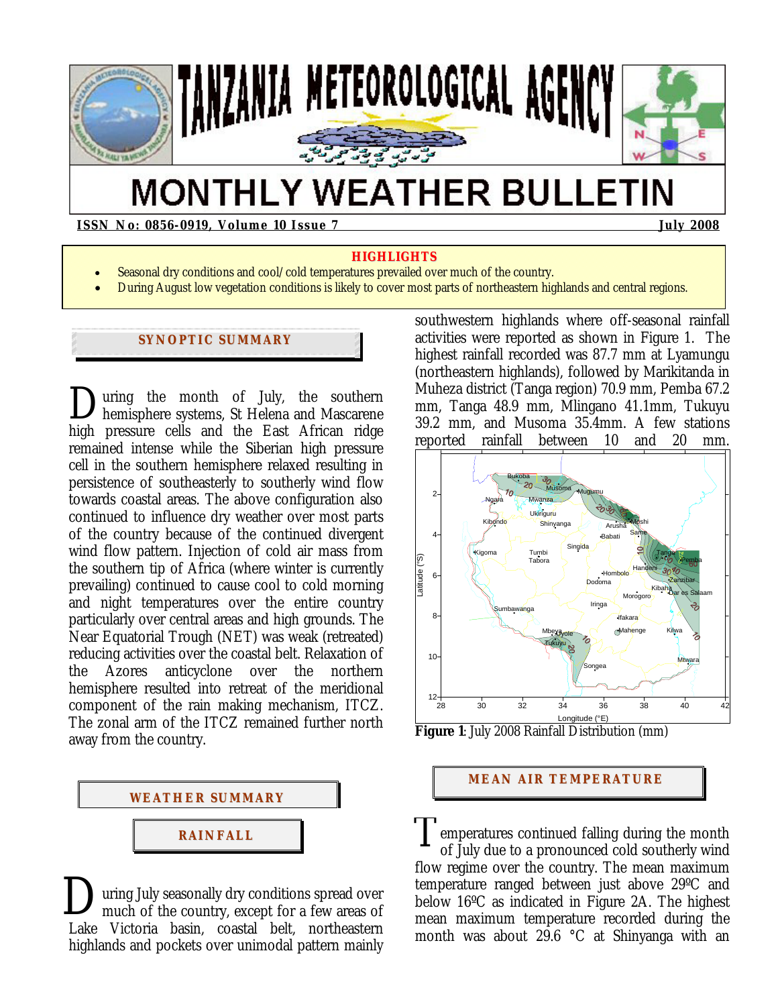

# **MONTHLY WEATHER BULLETIN**

**ISSN No: 0856-0919, Volume 10 Issue 7 July 2008** 

#### **HIGHLIGHTS**

- Seasonal dry conditions and cool/cold temperatures prevailed over much of the country.
- During August low vegetation conditions is likely to cover most parts of northeastern highlands and central regions.

## **SYNOPTIC SUMMARY**

uring the month of July, the southern hemisphere systems, St Helena and Mascarene high pressure cells and the East African ridge remained intense while the Siberian high pressure cell in the southern hemisphere relaxed resulting in persistence of southeasterly to southerly wind flow towards coastal areas. The above configuration also continued to influence dry weather over most parts of the country because of the continued divergent wind flow pattern. Injection of cold air mass from the southern tip of Africa (where winter is currently prevailing) continued to cause cool to cold morning and night temperatures over the entire country particularly over central areas and high grounds. The Near Equatorial Trough (NET) was weak (retreated) reducing activities over the coastal belt. Relaxation of the Azores anticyclone over the northern hemisphere resulted into retreat of the meridional component of the rain making mechanism, ITCZ. The zonal arm of the ITCZ remained further north away from the country.  $\sum_{he}$ 



uring July seasonally dry conditions spread over much of the country, except for a few areas of Lake Victoria basin, coastal belt, northeastern highlands and pockets over unimodal pattern mainly  $\sum_{m}$ 

southwestern highlands where off-seasonal rainfall activities were reported as shown in Figure 1. The highest rainfall recorded was 87.7 mm at Lyamungu (northeastern highlands), followed by Marikitanda in Muheza district (Tanga region) 70.9 mm, Pemba 67.2 mm, Tanga 48.9 mm, Mlingano 41.1mm, Tukuyu 39.2 mm, and Musoma 35.4mm. A few stations reported rainfall between 10 and 20 mm.





## **MEAN AIR TEMPERATURE**

emperatures continued falling during the month of July due to a pronounced cold southerly wind flow regime over the country. The mean maximum temperature ranged between just above 29ºC and below 16ºC as indicated in Figure 2A. The highest mean maximum temperature recorded during the month was about 29.6 °C at Shinyanga with an T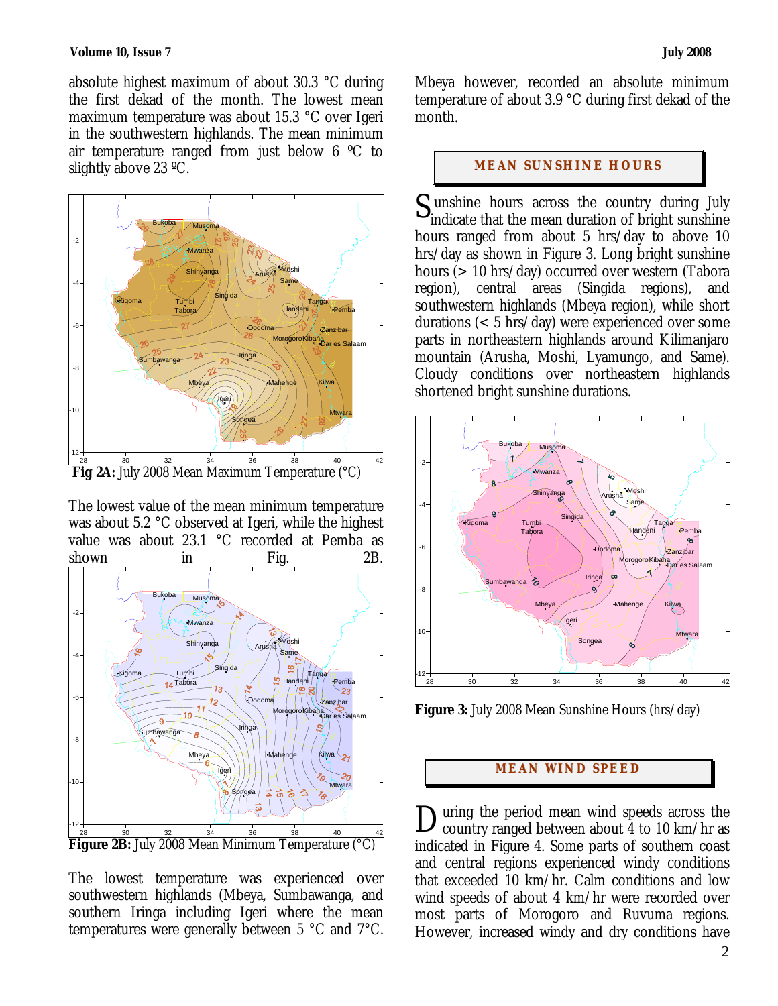absolute highest maximum of about 30.3 °C during the first dekad of the month. The lowest mean maximum temperature was about 15.3 °C over Igeri in the southwestern highlands. The mean minimum air temperature ranged from just below 6 ºC to slightly above 23 ºC.



The lowest value of the mean minimum temperature was about 5.2 °C observed at Igeri, while the highest value was about 23.1 °C recorded at Pemba as shown in Fig. 2B.



**Figure 2B:** July 2008 Mean Minimum Temperature (°C)

The lowest temperature was experienced over southwestern highlands (Mbeya, Sumbawanga, and southern Iringa including Igeri where the mean temperatures were generally between 5 °C and 7°C.

Mbeya however, recorded an absolute minimum temperature of about 3.9 °C during first dekad of the month.

### **MEAN SUNSHINE HOURS**

 unshine hours across the country during July S unshine hours across the country during July indicate that the mean duration of bright sunshine hours ranged from about 5 hrs/day to above 10 hrs/day as shown in Figure 3. Long bright sunshine hours (> 10 hrs/day) occurred over western (Tabora region), central areas (Singida regions), and southwestern highlands (Mbeya region), while short durations (< 5 hrs/day) were experienced over some parts in northeastern highlands around Kilimanjaro mountain (Arusha, Moshi, Lyamungo, and Same). Cloudy conditions over northeastern highlands shortened bright sunshine durations.



**Figure 3:** July 2008 Mean Sunshine Hours (hrs/day)

## **MEAN WI ND SPEED**

uring the period mean wind speeds across the During the period mean wind speeds across the country ranged between about 4 to 10 km/hr as indicated in Figure 4. Some parts of southern coast and central regions experienced windy conditions that exceeded 10 km/hr. Calm conditions and low wind speeds of about 4 km/hr were recorded over most parts of Morogoro and Ruvuma regions. However, increased windy and dry conditions have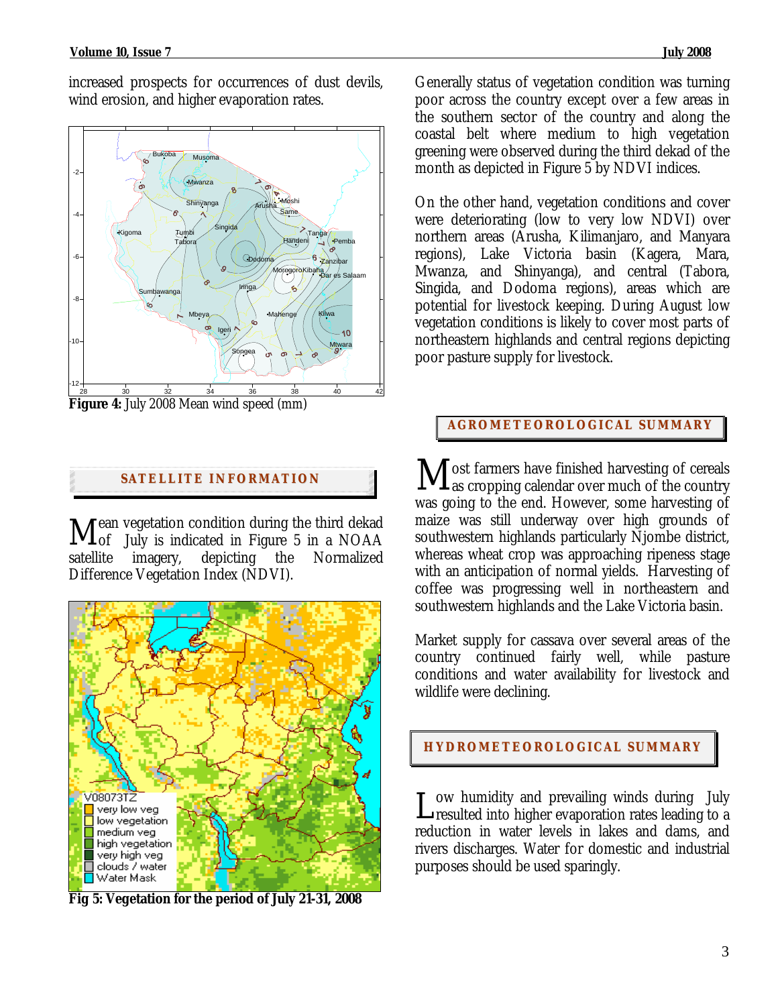increased prospects for occurrences of dust devils, wind erosion, and higher evaporation rates.



**Figure 4:** July 2008 Mean wind speed (mm)

# **SATELLITE I NFORMATION**

ean vegetation condition during the third dekad  $\mathbf{M}_{\textrm{of}}^{$ ean vegetation condition during the third dekad  $\mathbf{M}_{\textrm{of}}^{}$  July is indicated in Figure 5 in a NOAA satellite imagery, depicting the Normalized Difference Vegetation Index (NDVI).



**Fig 5: Vegetation for the period of July 21-31, 2008** 

Generally status of vegetation condition was turning poor across the country except over a few areas in the southern sector of the country and along the coastal belt where medium to high vegetation greening were observed during the third dekad of the month as depicted in Figure 5 by NDVI indices.

On the other hand, vegetation conditions and cover were deteriorating (low to very low NDVI) over northern areas (Arusha, Kilimanjaro, and Manyara regions), Lake Victoria basin (Kagera, Mara, Mwanza, and Shinyanga), and central (Tabora, Singida, and Dodoma regions), areas which are potential for livestock keeping. During August low vegetation conditions is likely to cover most parts of northeastern highlands and central regions depicting poor pasture supply for livestock.

# **AGROMETEOROLOGICAL SUMMARY**

s ost farmers have finished harvesting of cereals  $\rm\bf M$  ost farmers have finished harvesting of cereals as cropping calendar over much of the country was going to the end. However, some harvesting of maize was still underway over high grounds of southwestern highlands particularly Njombe district, whereas wheat crop was approaching ripeness stage with an anticipation of normal yields. Harvesting of coffee was progressing well in northeastern and southwestern highlands and the Lake Victoria basin.

Market supply for cassava over several areas of the country continued fairly well, while pasture conditions and water availability for livestock and wildlife were declining.

## **HYDROMETEOROLOGICAL SUMMARY**

ow humidity and prevailing winds during July L ow humidity and prevailing winds during July<br>resulted into higher evaporation rates leading to a reduction in water levels in lakes and dams, and rivers discharges. Water for domestic and industrial purposes should be used sparingly.